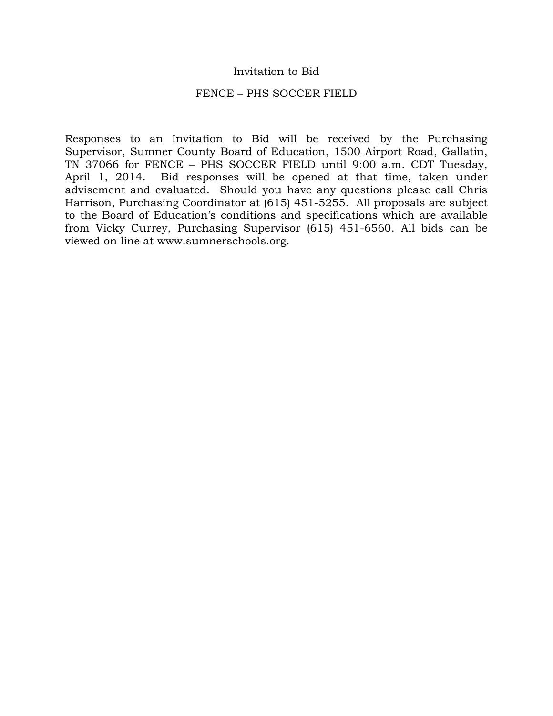### Invitation to Bid

#### FENCE – PHS SOCCER FIELD

Responses to an Invitation to Bid will be received by the Purchasing Supervisor, Sumner County Board of Education, 1500 Airport Road, Gallatin, TN 37066 for FENCE – PHS SOCCER FIELD until 9:00 a.m. CDT Tuesday, April 1, 2014. Bid responses will be opened at that time, taken under advisement and evaluated. Should you have any questions please call Chris Harrison, Purchasing Coordinator at (615) 451-5255. All proposals are subject to the Board of Education's conditions and specifications which are available from Vicky Currey, Purchasing Supervisor (615) 451-6560. All bids can be viewed on line at www.sumnerschools.org.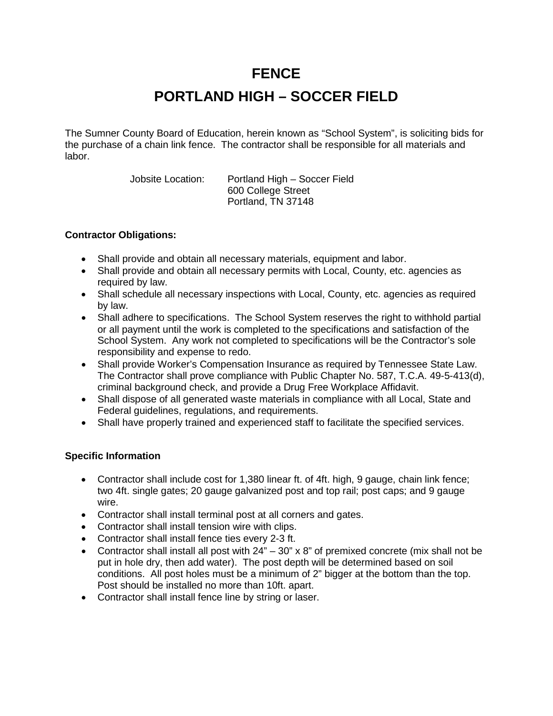## **FENCE**

## **PORTLAND HIGH – SOCCER FIELD**

The Sumner County Board of Education, herein known as "School System", is soliciting bids for the purchase of a chain link fence. The contractor shall be responsible for all materials and labor.

> Jobsite Location: Portland High – Soccer Field 600 College Street Portland, TN 37148

### **Contractor Obligations:**

- Shall provide and obtain all necessary materials, equipment and labor.
- Shall provide and obtain all necessary permits with Local, County, etc. agencies as required by law.
- Shall schedule all necessary inspections with Local, County, etc. agencies as required by law.
- Shall adhere to specifications. The School System reserves the right to withhold partial or all payment until the work is completed to the specifications and satisfaction of the School System. Any work not completed to specifications will be the Contractor's sole responsibility and expense to redo.
- Shall provide Worker's Compensation Insurance as required by Tennessee State Law. The Contractor shall prove compliance with Public Chapter No. 587, T.C.A. 49-5-413(d), criminal background check, and provide a Drug Free Workplace Affidavit.
- Shall dispose of all generated waste materials in compliance with all Local, State and Federal guidelines, regulations, and requirements.
- Shall have properly trained and experienced staff to facilitate the specified services.

### **Specific Information**

- Contractor shall include cost for 1,380 linear ft. of 4ft. high, 9 gauge, chain link fence; two 4ft. single gates; 20 gauge galvanized post and top rail; post caps; and 9 gauge wire.
- Contractor shall install terminal post at all corners and gates.
- Contractor shall install tension wire with clips.
- Contractor shall install fence ties every 2-3 ft.
- Contractor shall install all post with  $24" 30" \times 8"$  of premixed concrete (mix shall not be put in hole dry, then add water). The post depth will be determined based on soil conditions. All post holes must be a minimum of 2" bigger at the bottom than the top. Post should be installed no more than 10ft. apart.
- Contractor shall install fence line by string or laser.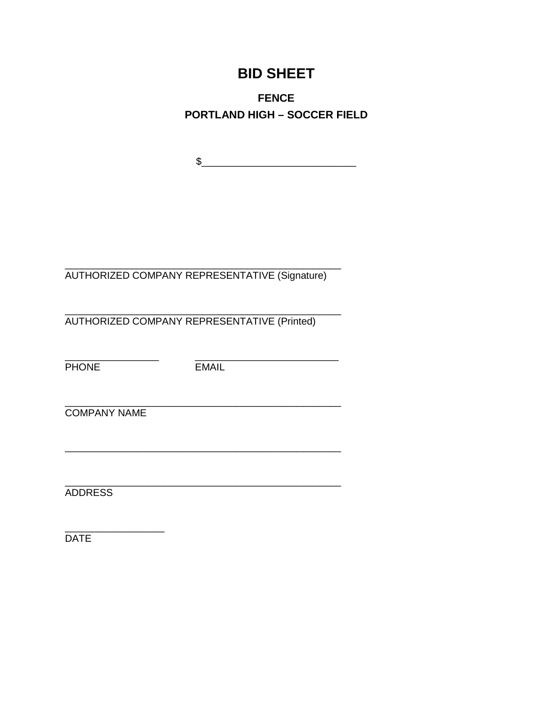# **BID SHEET**

**FENCE PORTLAND HIGH - SOCCER FIELD** 

 $\begin{picture}(20,10) \put(0,0){\vector(1,0){100}} \put(15,0){\vector(1,0){100}} \put(15,0){\vector(1,0){100}} \put(15,0){\vector(1,0){100}} \put(15,0){\vector(1,0){100}} \put(15,0){\vector(1,0){100}} \put(15,0){\vector(1,0){100}} \put(15,0){\vector(1,0){100}} \put(15,0){\vector(1,0){100}} \put(15,0){\vector(1,0){100}} \put(15,0){\vector(1,0){100}} \$ 

AUTHORIZED COMPANY REPRESENTATIVE (Signature)

AUTHORIZED COMPANY REPRESENTATIVE (Printed)

**PHONE** 

**EMAIL** 

**COMPANY NAME** 

**ADDRESS** 

**DATE**